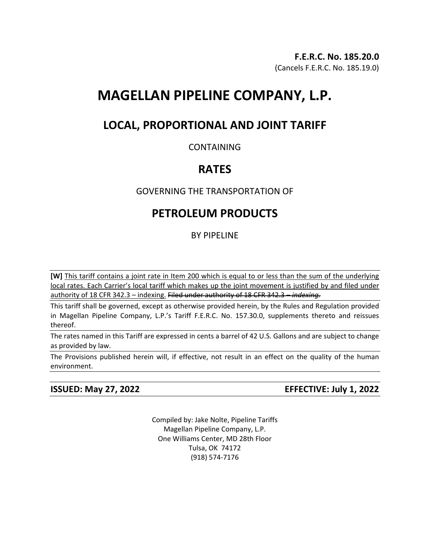## **F.E.R.C. No. 185.20.0** (Cancels F.E.R.C. No. 185.19.0)

# **MAGELLAN PIPELINE COMPANY, L.P.**

# **LOCAL, PROPORTIONAL AND JOINT TARIFF**

## CONTAINING

# **RATES**

# GOVERNING THE TRANSPORTATION OF

# **PETROLEUM PRODUCTS**

## BY PIPELINE

**[W]** This tariff contains a joint rate in Item 200 which is equal to or less than the sum of the underlying local rates. Each Carrier's local tariff which makes up the joint movement is justified by and filed under authority of 18 CFR 342.3 – indexing. Filed under authority of 18 CFR 342.3 – *indexing.*

This tariff shall be governed, except as otherwise provided herein, by the Rules and Regulation provided in Magellan Pipeline Company, L.P.'s Tariff F.E.R.C. No. 157.30.0, supplements thereto and reissues thereof.

The rates named in this Tariff are expressed in cents a barrel of 42 U.S. Gallons and are subject to change as provided by law.

The Provisions published herein will, if effective, not result in an effect on the quality of the human environment.

# **ISSUED: May 27, 2022 EFFECTIVE: July 1, 2022**

Compiled by: Jake Nolte, Pipeline Tariffs Magellan Pipeline Company, L.P. One Williams Center, MD 28th Floor Tulsa, OK 74172 (918) 574-7176